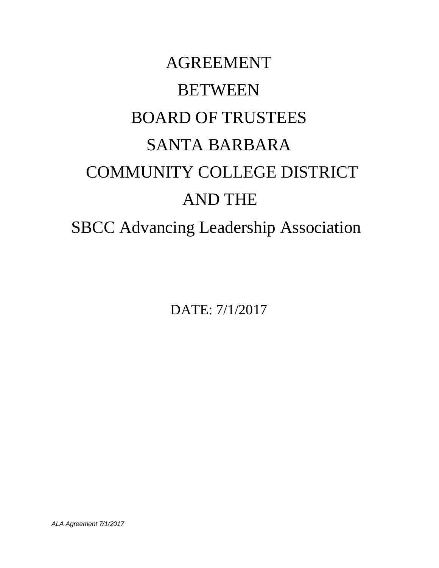# AGREEMENT **BETWEEN** BOARD OF TRUSTEES SANTA BARBARA COMMUNITY COLLEGE DISTRICT AND THE SBCC Advancing Leadership Association

DATE: 7/1/2017

*ALA Agreement 7/1/2017*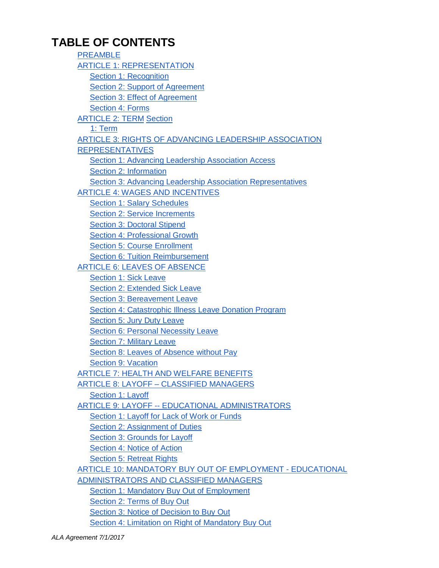### **TABLE OF CONTENTS**

PREAMBLE ARTICLE 1: REPRESENTATION Section 1: Recognition Section 2: Support of Agreement Section 3: Effect of Agreement Section 4: Forms ARTICLE 2: TERM Section 1: Term ARTICLE 3: RIGHTS OF ADVANCING LEADERSHIP ASSOCIATION REPRESENTATIVES Section 1: Advancing Leadership Association Access Section 2: Information Section 3: Advancing Leadership Association Representatives ARTICLE 4: WAGES AND INCENTIVES Section 1: Salary Schedules Section 2: Service Increments Section 3: Doctoral Stipend Section 4: Professional Growth Section 5: Course Enrollment Section 6: Tuition Reimbursement ARTICLE 6: LEAVES OF ABSENCE Section 1: Sick Leave Section 2: Extended Sick Leave Section 3: Bereavement Leave Section 4: Catastrophic Illness Leave Donation Program Section 5: Jury Duty Leave Section 6: Personal Necessity Leave Section 7: Military Leave Section 8: Leaves of Absence without Pay Section 9: Vacation ARTICLE 7: HEALTH AND WELFARE BENEFITS ARTICLE 8: LAYOFF – CLASSIFIED MANAGERS Section 1: Layoff ARTICLE 9: LAYOFF -- EDUCATIONAL ADMINISTRATORS Section 1: Layoff for Lack of Work or Funds Section 2: Assignment of Duties Section 3: Grounds for Layoff Section 4: Notice of Action Section 5: Retreat Rights ARTICLE 10: MANDATORY BUY OUT OF EMPLOYMENT - EDUCATIONAL ADMINISTRATORS AND CLASSIFIED MANAGERS Section 1: Mandatory Buy Out of Employment Section 2: Terms of Buy Out Section 3: Notice of Decision to Buy Out Section 4: Limitation on Right of Mandatory Buy Out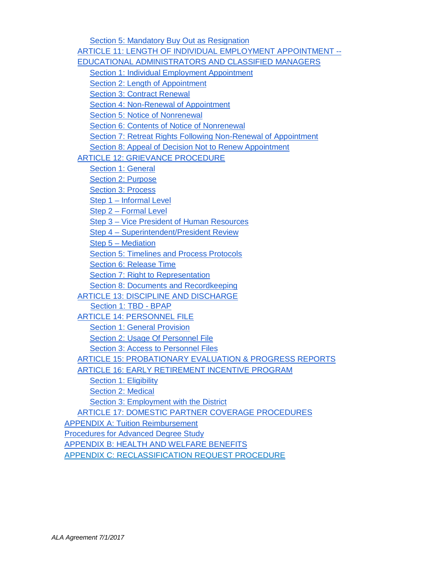Section 5: Mandatory Buy Out as Resignation ARTICLE 11: LENGTH OF INDIVIDUAL EMPLOYMENT APPOINTMENT -- EDUCATIONAL ADMINISTRATORS AND CLASSIFIED MANAGERS Section 1: Individual Employment Appointment Section 2: Length of Appointment Section 3: Contract Renewal Section 4: Non-Renewal of Appointment Section 5: Notice of Nonrenewal Section 6: Contents of Notice of Nonrenewal Section 7: Retreat Rights Following Non-Renewal of Appointment Section 8: Appeal of Decision Not to Renew Appointment ARTICLE 12: GRIEVANCE PROCEDURE Section 1: General Section 2: Purpose Section 3: Process Step 1 – Informal Level Step 2 – Formal Level Step 3 – Vice President of Human Resources Step 4 – Superintendent/President Review Step 5 – Mediation Section 5: Timelines and Process Protocols Section 6: Release Time Section 7: Right to Representation Section 8: Documents and Recordkeeping ARTICLE 13: DISCIPLINE AND DISCHARGE Section 1: TBD - BPAP ARTICLE 14: PERSONNEL FILE Section 1: General Provision Section 2: Usage Of Personnel File Section 3: Access to Personnel Files ARTICLE 15: PROBATIONARY EVALUATION & PROGRESS REPORTS ARTICLE 16: EARLY RETIREMENT INCENTIVE PROGRAM Section 1: Eligibility Section 2: Medical Section 3: Employment with the District ARTICLE 17: DOMESTIC PARTNER COVERAGE PROCEDURES APPENDIX A: Tuition Reimbursement Procedures for Advanced Degree Study APPENDIX B: HEALTH AND WELFARE BENEFITS APPENDIX C: RECLASSIFICATION REQUEST PROCEDURE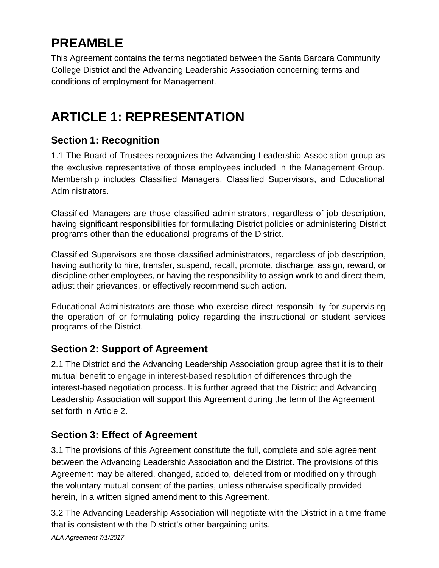# **PREAMBLE**

This Agreement contains the terms negotiated between the Santa Barbara Community College District and the Advancing Leadership Association concerning terms and conditions of employment for Management.

# **ARTICLE 1: REPRESENTATION**

#### **Section 1: Recognition**

1.1 The Board of Trustees recognizes the Advancing Leadership Association group as the exclusive representative of those employees included in the Management Group. Membership includes Classified Managers, Classified Supervisors, and Educational Administrators.

Classified Managers are those classified administrators, regardless of job description, having significant responsibilities for formulating District policies or administering District programs other than the educational programs of the District.

Classified Supervisors are those classified administrators, regardless of job description, having authority to hire, transfer, suspend, recall, promote, discharge, assign, reward, or discipline other employees, or having the responsibility to assign work to and direct them, adjust their grievances, or effectively recommend such action.

Educational Administrators are those who exercise direct responsibility for supervising the operation of or formulating policy regarding the instructional or student services programs of the District.

#### **Section 2: Support of Agreement**

2.1 The District and the Advancing Leadership Association group agree that it is to their mutual benefit to engage in interest-based resolution of differences through the interest-based negotiation process. It is further agreed that the District and Advancing Leadership Association will support this Agreement during the term of the Agreement set forth in Article 2.

#### **Section 3: Effect of Agreement**

3.1 The provisions of this Agreement constitute the full, complete and sole agreement between the Advancing Leadership Association and the District. The provisions of this Agreement may be altered, changed, added to, deleted from or modified only through the voluntary mutual consent of the parties, unless otherwise specifically provided herein, in a written signed amendment to this Agreement.

3.2 The Advancing Leadership Association will negotiate with the District in a time frame that is consistent with the District's other bargaining units.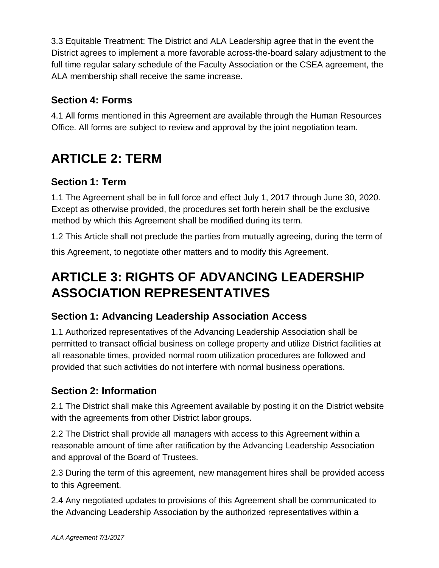3.3 Equitable Treatment: The District and ALA Leadership agree that in the event the District agrees to implement a more favorable across-the-board salary adjustment to the full time regular salary schedule of the Faculty Association or the CSEA agreement, the ALA membership shall receive the same increase.

### **Section 4: Forms**

4.1 All forms mentioned in this Agreement are available through the Human Resources Office. All forms are subject to review and approval by the joint negotiation team.

# **ARTICLE 2: TERM**

### **Section 1: Term**

1.1 The Agreement shall be in full force and effect July 1, 2017 through June 30, 2020. Except as otherwise provided, the procedures set forth herein shall be the exclusive method by which this Agreement shall be modified during its term.

1.2 This Article shall not preclude the parties from mutually agreeing, during the term of this Agreement, to negotiate other matters and to modify this Agreement.

### **ARTICLE 3: RIGHTS OF ADVANCING LEADERSHIP ASSOCIATION REPRESENTATIVES**

#### **Section 1: Advancing Leadership Association Access**

1.1 Authorized representatives of the Advancing Leadership Association shall be permitted to transact official business on college property and utilize District facilities at all reasonable times, provided normal room utilization procedures are followed and provided that such activities do not interfere with normal business operations.

### **Section 2: Information**

2.1 The District shall make this Agreement available by posting it on the District website with the agreements from other District labor groups.

2.2 The District shall provide all managers with access to this Agreement within a reasonable amount of time after ratification by the Advancing Leadership Association and approval of the Board of Trustees.

2.3 During the term of this agreement, new management hires shall be provided access to this Agreement.

2.4 Any negotiated updates to provisions of this Agreement shall be communicated to the Advancing Leadership Association by the authorized representatives within a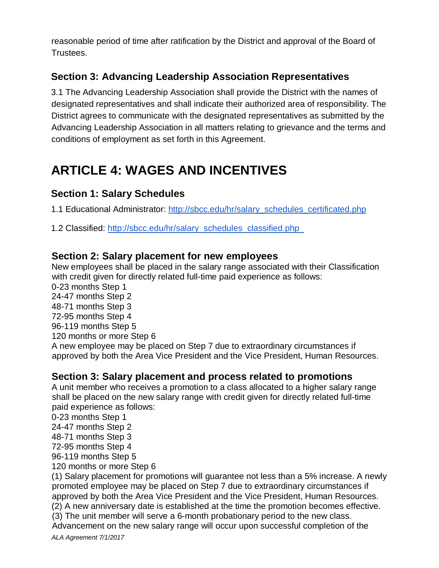reasonable period of time after ratification by the District and approval of the Board of Trustees.

### **Section 3: Advancing Leadership Association Representatives**

3.1 The Advancing Leadership Association shall provide the District with the names of designated representatives and shall indicate their authorized area of responsibility. The District agrees to communicate with the designated representatives as submitted by the Advancing Leadership Association in all matters relating to grievance and the terms and conditions of employment as set forth in this Agreement.

# **ARTICLE 4: WAGES AND INCENTIVES**

#### **Section 1: Salary Schedules**

1.1 Educational Administrator: http://sbcc.edu/hr/salary\_schedules\_certificated.php

1.2 Classified: http://sbcc.edu/hr/salary\_schedules\_classified.php

#### **Section 2: Salary placement for new employees**

New employees shall be placed in the salary range associated with their Classification with credit given for directly related full-time paid experience as follows:

0-23 months Step 1

24-47 months Step 2

48-71 months Step 3

72-95 months Step 4

96-119 months Step 5

120 months or more Step 6

A new employee may be placed on Step 7 due to extraordinary circumstances if approved by both the Area Vice President and the Vice President, Human Resources.

#### **Section 3: Salary placement and process related to promotions**

A unit member who receives a promotion to a class allocated to a higher salary range shall be placed on the new salary range with credit given for directly related full-time paid experience as follows:

0-23 months Step 1

24-47 months Step 2

48-71 months Step 3

72-95 months Step 4

96-119 months Step 5

120 months or more Step 6

(1) Salary placement for promotions will guarantee not less than a 5% increase. A newly promoted employee may be placed on Step 7 due to extraordinary circumstances if approved by both the Area Vice President and the Vice President, Human Resources. (2) A new anniversary date is established at the time the promotion becomes effective.

(3) The unit member will serve a 6-month probationary period to the new class.

Advancement on the new salary range will occur upon successful completion of the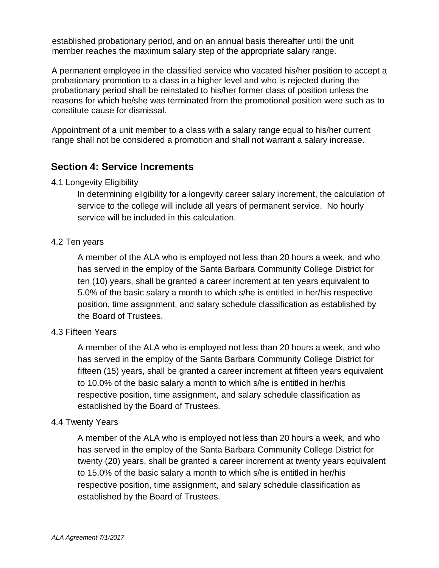established probationary period, and on an annual basis thereafter until the unit member reaches the maximum salary step of the appropriate salary range.

A permanent employee in the classified service who vacated his/her position to accept a probationary promotion to a class in a higher level and who is rejected during the probationary period shall be reinstated to his/her former class of position unless the reasons for which he/she was terminated from the promotional position were such as to constitute cause for dismissal.

Appointment of a unit member to a class with a salary range equal to his/her current range shall not be considered a promotion and shall not warrant a salary increase.

#### **Section 4: Service Increments**

#### 4.1 Longevity Eligibility

In determining eligibility for a longevity career salary increment, the calculation of service to the college will include all years of permanent service. No hourly service will be included in this calculation.

#### 4.2 Ten years

A member of the ALA who is employed not less than 20 hours a week, and who has served in the employ of the Santa Barbara Community College District for ten (10) years, shall be granted a career increment at ten years equivalent to 5.0% of the basic salary a month to which s/he is entitled in her/his respective position, time assignment, and salary schedule classification as established by the Board of Trustees.

#### 4.3 Fifteen Years

A member of the ALA who is employed not less than 20 hours a week, and who has served in the employ of the Santa Barbara Community College District for fifteen (15) years, shall be granted a career increment at fifteen years equivalent to 10.0% of the basic salary a month to which s/he is entitled in her/his respective position, time assignment, and salary schedule classification as established by the Board of Trustees.

#### 4.4 Twenty Years

A member of the ALA who is employed not less than 20 hours a week, and who has served in the employ of the Santa Barbara Community College District for twenty (20) years, shall be granted a career increment at twenty years equivalent to 15.0% of the basic salary a month to which s/he is entitled in her/his respective position, time assignment, and salary schedule classification as established by the Board of Trustees.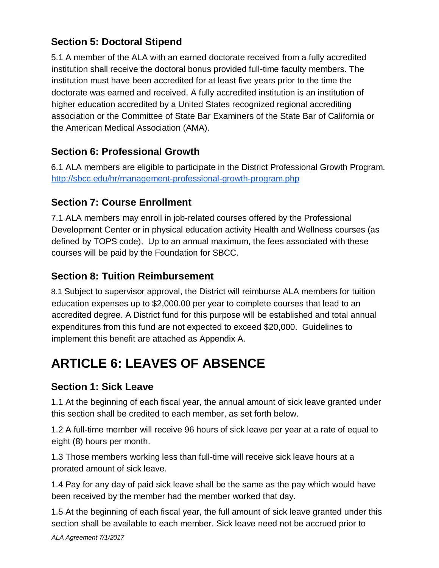### **Section 5: Doctoral Stipend**

5.1 A member of the ALA with an earned doctorate received from a fully accredited institution shall receive the doctoral bonus provided full-time faculty members. The institution must have been accredited for at least five years prior to the time the doctorate was earned and received. A fully accredited institution is an institution of higher education accredited by a United States recognized regional accrediting association or the Committee of State Bar Examiners of the State Bar of California or the American Medical Association (AMA).

### **Section 6: Professional Growth**

6.1 ALA members are eligible to participate in the District Professional Growth Program. http://sbcc.edu/hr/management-professional-growth-program.php

#### **Section 7: Course Enrollment**

7.1 ALA members may enroll in job-related courses offered by the Professional Development Center or in physical education activity Health and Wellness courses (as defined by TOPS code). Up to an annual maximum, the fees associated with these courses will be paid by the Foundation for SBCC.

#### **Section 8: Tuition Reimbursement**

8.1 Subject to supervisor approval, the District will reimburse ALA members for tuition education expenses up to \$2,000.00 per year to complete courses that lead to an accredited degree. A District fund for this purpose will be established and total annual expenditures from this fund are not expected to exceed \$20,000. Guidelines to implement this benefit are attached as Appendix A.

# **ARTICLE 6: LEAVES OF ABSENCE**

#### **Section 1: Sick Leave**

1.1 At the beginning of each fiscal year, the annual amount of sick leave granted under this section shall be credited to each member, as set forth below.

1.2 A full-time member will receive 96 hours of sick leave per year at a rate of equal to eight (8) hours per month.

1.3 Those members working less than full-time will receive sick leave hours at a prorated amount of sick leave.

1.4 Pay for any day of paid sick leave shall be the same as the pay which would have been received by the member had the member worked that day.

1.5 At the beginning of each fiscal year, the full amount of sick leave granted under this section shall be available to each member. Sick leave need not be accrued prior to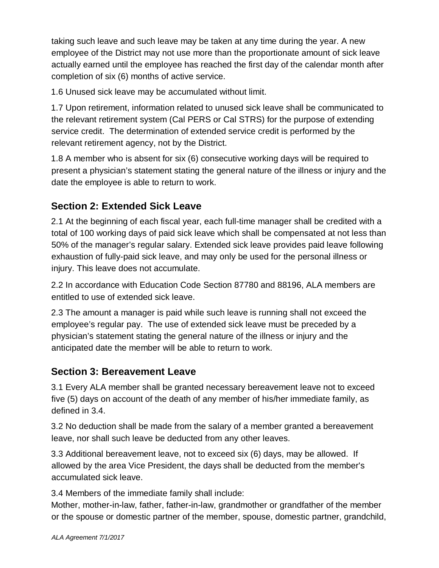taking such leave and such leave may be taken at any time during the year. A new employee of the District may not use more than the proportionate amount of sick leave actually earned until the employee has reached the first day of the calendar month after completion of six (6) months of active service.

1.6 Unused sick leave may be accumulated without limit.

1.7 Upon retirement, information related to unused sick leave shall be communicated to the relevant retirement system (Cal PERS or Cal STRS) for the purpose of extending service credit. The determination of extended service credit is performed by the relevant retirement agency, not by the District.

1.8 A member who is absent for six (6) consecutive working days will be required to present a physician's statement stating the general nature of the illness or injury and the date the employee is able to return to work.

### **Section 2: Extended Sick Leave**

2.1 At the beginning of each fiscal year, each full-time manager shall be credited with a total of 100 working days of paid sick leave which shall be compensated at not less than 50% of the manager's regular salary. Extended sick leave provides paid leave following exhaustion of fully-paid sick leave, and may only be used for the personal illness or injury. This leave does not accumulate.

2.2 In accordance with Education Code Section 87780 and 88196, ALA members are entitled to use of extended sick leave.

2.3 The amount a manager is paid while such leave is running shall not exceed the employee's regular pay. The use of extended sick leave must be preceded by a physician's statement stating the general nature of the illness or injury and the anticipated date the member will be able to return to work.

#### **Section 3: Bereavement Leave**

3.1 Every ALA member shall be granted necessary bereavement leave not to exceed five (5) days on account of the death of any member of his/her immediate family, as defined in 3.4.

3.2 No deduction shall be made from the salary of a member granted a bereavement leave, nor shall such leave be deducted from any other leaves.

3.3 Additional bereavement leave, not to exceed six (6) days, may be allowed. If allowed by the area Vice President, the days shall be deducted from the member's accumulated sick leave.

3.4 Members of the immediate family shall include:

Mother, mother-in-law, father, father-in-law, grandmother or grandfather of the member or the spouse or domestic partner of the member, spouse, domestic partner, grandchild,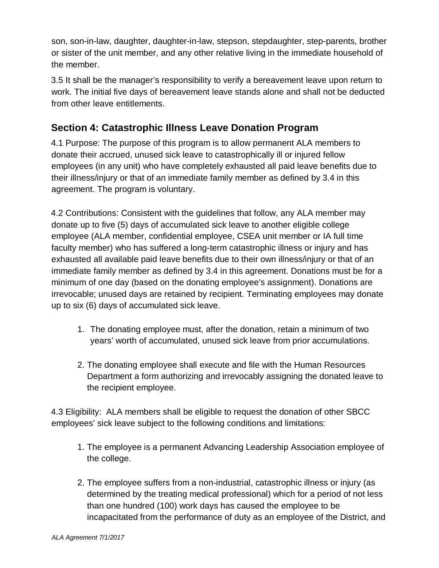son, son-in-law, daughter, daughter-in-law, stepson, stepdaughter, step-parents, brother or sister of the unit member, and any other relative living in the immediate household of the member.

3.5 It shall be the manager's responsibility to verify a bereavement leave upon return to work. The initial five days of bereavement leave stands alone and shall not be deducted from other leave entitlements.

#### **Section 4: Catastrophic Illness Leave Donation Program**

4.1 Purpose: The purpose of this program is to allow permanent ALA members to donate their accrued, unused sick leave to catastrophically ill or injured fellow employees (in any unit) who have completely exhausted all paid leave benefits due to their illness/injury or that of an immediate family member as defined by 3.4 in this agreement. The program is voluntary.

4.2 Contributions: Consistent with the guidelines that follow, any ALA member may donate up to five (5) days of accumulated sick leave to another eligible college employee (ALA member, confidential employee, CSEA unit member or IA full time faculty member) who has suffered a long-term catastrophic illness or injury and has exhausted all available paid leave benefits due to their own illness/injury or that of an immediate family member as defined by 3.4 in this agreement. Donations must be for a minimum of one day (based on the donating employee's assignment). Donations are irrevocable; unused days are retained by recipient. Terminating employees may donate up to six (6) days of accumulated sick leave.

- 1. The donating employee must, after the donation, retain a minimum of two years' worth of accumulated, unused sick leave from prior accumulations.
- 2. The donating employee shall execute and file with the Human Resources Department a form authorizing and irrevocably assigning the donated leave to the recipient employee.

4.3 Eligibility: ALA members shall be eligible to request the donation of other SBCC employees' sick leave subject to the following conditions and limitations:

- 1. The employee is a permanent Advancing Leadership Association employee of the college.
- 2. The employee suffers from a non-industrial, catastrophic illness or injury (as determined by the treating medical professional) which for a period of not less than one hundred (100) work days has caused the employee to be incapacitated from the performance of duty as an employee of the District, and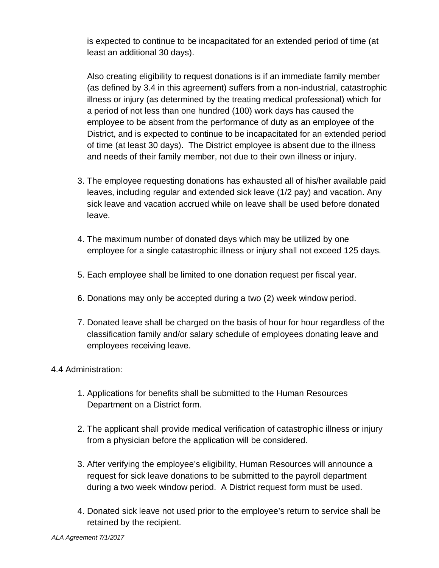is expected to continue to be incapacitated for an extended period of time (at least an additional 30 days).

Also creating eligibility to request donations is if an immediate family member (as defined by 3.4 in this agreement) suffers from a non-industrial, catastrophic illness or injury (as determined by the treating medical professional) which for a period of not less than one hundred (100) work days has caused the employee to be absent from the performance of duty as an employee of the District, and is expected to continue to be incapacitated for an extended period of time (at least 30 days). The District employee is absent due to the illness and needs of their family member, not due to their own illness or injury.

- 3. The employee requesting donations has exhausted all of his/her available paid leaves, including regular and extended sick leave (1/2 pay) and vacation. Any sick leave and vacation accrued while on leave shall be used before donated leave.
- 4. The maximum number of donated days which may be utilized by one employee for a single catastrophic illness or injury shall not exceed 125 days.
- 5. Each employee shall be limited to one donation request per fiscal year.
- 6. Donations may only be accepted during a two (2) week window period.
- 7. Donated leave shall be charged on the basis of hour for hour regardless of the classification family and/or salary schedule of employees donating leave and employees receiving leave.

#### 4.4 Administration:

- 1. Applications for benefits shall be submitted to the Human Resources Department on a District form.
- 2. The applicant shall provide medical verification of catastrophic illness or injury from a physician before the application will be considered.
- 3. After verifying the employee's eligibility, Human Resources will announce a request for sick leave donations to be submitted to the payroll department during a two week window period. A District request form must be used.
- 4. Donated sick leave not used prior to the employee's return to service shall be retained by the recipient.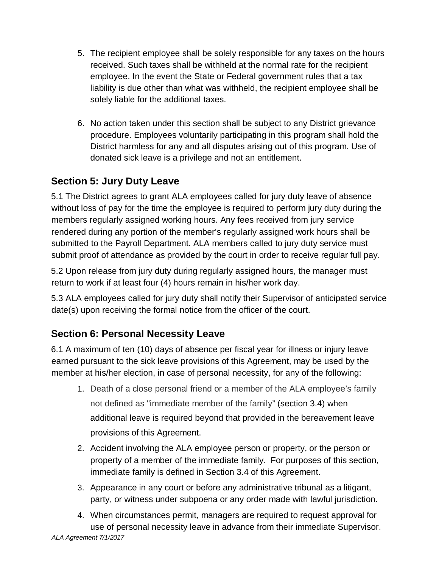- 5. The recipient employee shall be solely responsible for any taxes on the hours received. Such taxes shall be withheld at the normal rate for the recipient employee. In the event the State or Federal government rules that a tax liability is due other than what was withheld, the recipient employee shall be solely liable for the additional taxes.
- 6. No action taken under this section shall be subject to any District grievance procedure. Employees voluntarily participating in this program shall hold the District harmless for any and all disputes arising out of this program. Use of donated sick leave is a privilege and not an entitlement.

### **Section 5: Jury Duty Leave**

5.1 The District agrees to grant ALA employees called for jury duty leave of absence without loss of pay for the time the employee is required to perform jury duty during the members regularly assigned working hours. Any fees received from jury service rendered during any portion of the member's regularly assigned work hours shall be submitted to the Payroll Department. ALA members called to jury duty service must submit proof of attendance as provided by the court in order to receive regular full pay.

5.2 Upon release from jury duty during regularly assigned hours, the manager must return to work if at least four (4) hours remain in his/her work day.

5.3 ALA employees called for jury duty shall notify their Supervisor of anticipated service date(s) upon receiving the formal notice from the officer of the court.

#### **Section 6: Personal Necessity Leave**

6.1 A maximum of ten (10) days of absence per fiscal year for illness or injury leave earned pursuant to the sick leave provisions of this Agreement, may be used by the member at his/her election, in case of personal necessity, for any of the following:

- 1. Death of a close personal friend or a member of the ALA employee's family not defined as "immediate member of the family" (section 3.4) when additional leave is required beyond that provided in the bereavement leave provisions of this Agreement.
- 2. Accident involving the ALA employee person or property, or the person or property of a member of the immediate family. For purposes of this section, immediate family is defined in Section 3.4 of this Agreement.
- 3. Appearance in any court or before any administrative tribunal as a litigant, party, or witness under subpoena or any order made with lawful jurisdiction.
- 4. When circumstances permit, managers are required to request approval for use of personal necessity leave in advance from their immediate Supervisor.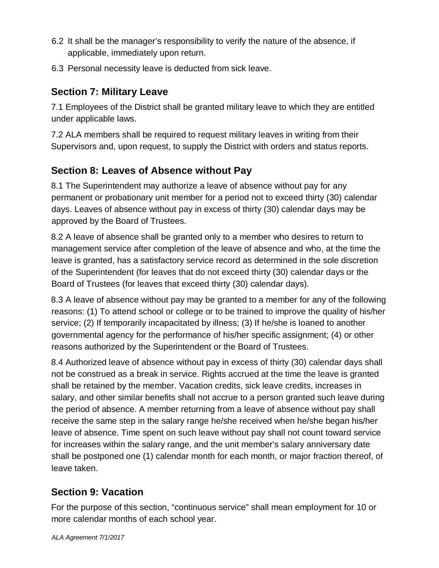- 6.2 It shall be the manager's responsibility to verify the nature of the absence, if applicable, immediately upon return.
- 6.3 Personal necessity leave is deducted from sick leave.

#### **Section 7: Military Leave**

7.1 Employees of the District shall be granted military leave to which they are entitled under applicable laws.

7.2 ALA members shall be required to request military leaves in writing from their Supervisors and, upon request, to supply the District with orders and status reports.

### **Section 8: Leaves of Absence without Pay**

8.1 The Superintendent may authorize a leave of absence without pay for any permanent or probationary unit member for a period not to exceed thirty (30) calendar days. Leaves of absence without pay in excess of thirty (30) calendar days may be approved by the Board of Trustees.

8.2 A leave of absence shall be granted only to a member who desires to return to management service after completion of the leave of absence and who, at the time the leave is granted, has a satisfactory service record as determined in the sole discretion of the Superintendent (for leaves that do not exceed thirty (30) calendar days or the Board of Trustees (for leaves that exceed thirty (30) calendar days).

8.3 A leave of absence without pay may be granted to a member for any of the following reasons: (1) To attend school or college or to be trained to improve the quality of his/her service; (2) If temporarily incapacitated by illness; (3) If he/she is loaned to another governmental agency for the performance of his/her specific assignment; (4) or other reasons authorized by the Superintendent or the Board of Trustees.

8.4 Authorized leave of absence without pay in excess of thirty (30) calendar days shall not be construed as a break in service. Rights accrued at the time the leave is granted shall be retained by the member. Vacation credits, sick leave credits, increases in salary, and other similar benefits shall not accrue to a person granted such leave during the period of absence. A member returning from a leave of absence without pay shall receive the same step in the salary range he/she received when he/she began his/her leave of absence. Time spent on such leave without pay shall not count toward service for increases within the salary range, and the unit member's salary anniversary date shall be postponed one (1) calendar month for each month, or major fraction thereof, of leave taken.

### **Section 9: Vacation**

For the purpose of this section, "continuous service" shall mean employment for 10 or more calendar months of each school year.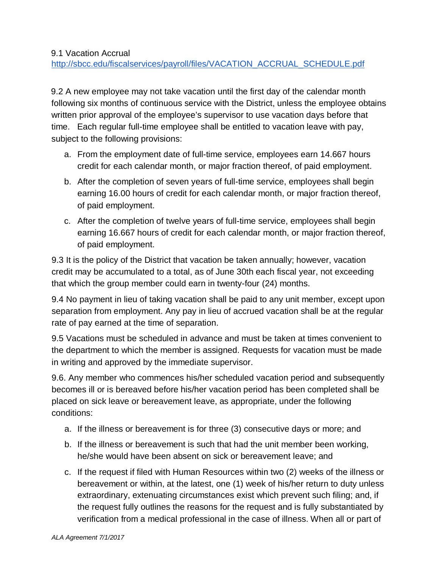9.2 A new employee may not take vacation until the first day of the calendar month following six months of continuous service with the District, unless the employee obtains written prior approval of the employee's supervisor to use vacation days before that time. Each regular full-time employee shall be entitled to vacation leave with pay, subject to the following provisions:

- a. From the employment date of full-time service, employees earn 14.667 hours credit for each calendar month, or major fraction thereof, of paid employment.
- b. After the completion of seven years of full-time service, employees shall begin earning 16.00 hours of credit for each calendar month, or major fraction thereof, of paid employment.
- c. After the completion of twelve years of full-time service, employees shall begin earning 16.667 hours of credit for each calendar month, or major fraction thereof, of paid employment.

9.3 It is the policy of the District that vacation be taken annually; however, vacation credit may be accumulated to a total, as of June 30th each fiscal year, not exceeding that which the group member could earn in twenty-four (24) months.

9.4 No payment in lieu of taking vacation shall be paid to any unit member, except upon separation from employment. Any pay in lieu of accrued vacation shall be at the regular rate of pay earned at the time of separation.

9.5 Vacations must be scheduled in advance and must be taken at times convenient to the department to which the member is assigned. Requests for vacation must be made in writing and approved by the immediate supervisor.

9.6. Any member who commences his/her scheduled vacation period and subsequently becomes ill or is bereaved before his/her vacation period has been completed shall be placed on sick leave or bereavement leave, as appropriate, under the following conditions:

- a. If the illness or bereavement is for three (3) consecutive days or more; and
- b. If the illness or bereavement is such that had the unit member been working, he/she would have been absent on sick or bereavement leave; and
- c. If the request if filed with Human Resources within two (2) weeks of the illness or bereavement or within, at the latest, one (1) week of his/her return to duty unless extraordinary, extenuating circumstances exist which prevent such filing; and, if the request fully outlines the reasons for the request and is fully substantiated by verification from a medical professional in the case of illness. When all or part of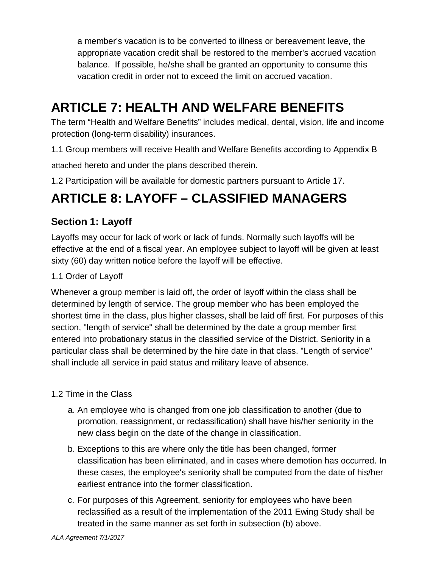a member's vacation is to be converted to illness or bereavement leave, the appropriate vacation credit shall be restored to the member's accrued vacation balance. If possible, he/she shall be granted an opportunity to consume this vacation credit in order not to exceed the limit on accrued vacation.

# **ARTICLE 7: HEALTH AND WELFARE BENEFITS**

The term "Health and Welfare Benefits" includes medical, dental, vision, life and income protection (long-term disability) insurances.

1.1 Group members will receive Health and Welfare Benefits according to Appendix B attached hereto and under the plans described therein.

1.2 Participation will be available for domestic partners pursuant to Article 17.

# **ARTICLE 8: LAYOFF – CLASSIFIED MANAGERS**

#### **Section 1: Layoff**

Layoffs may occur for lack of work or lack of funds. Normally such layoffs will be effective at the end of a fiscal year. An employee subject to layoff will be given at least sixty (60) day written notice before the layoff will be effective.

#### 1.1 Order of Layoff

Whenever a group member is laid off, the order of layoff within the class shall be determined by length of service. The group member who has been employed the shortest time in the class, plus higher classes, shall be laid off first. For purposes of this section, "length of service" shall be determined by the date a group member first entered into probationary status in the classified service of the District. Seniority in a particular class shall be determined by the hire date in that class. "Length of service" shall include all service in paid status and military leave of absence.

#### 1.2 Time in the Class

- a. An employee who is changed from one job classification to another (due to promotion, reassignment, or reclassification) shall have his/her seniority in the new class begin on the date of the change in classification.
- b. Exceptions to this are where only the title has been changed, former classification has been eliminated, and in cases where demotion has occurred. In these cases, the employee's seniority shall be computed from the date of his/her earliest entrance into the former classification.
- c. For purposes of this Agreement, seniority for employees who have been reclassified as a result of the implementation of the 2011 Ewing Study shall be treated in the same manner as set forth in subsection (b) above.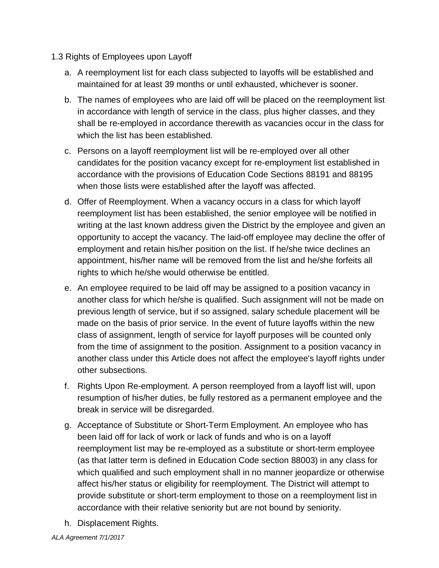- 1.3 Rights of Employees upon Layoff
	- a. A reemployment list for each class subjected to layoffs will be established and maintained for at least 39 months or until exhausted, whichever is sooner.
	- b. The names of employees who are laid off will be placed on the reemployment list in accordance with length of service in the class, plus higher classes, and they shall be re-employed in accordance therewith as vacancies occur in the class for which the list has been established.
	- c. Persons on a layoff reemployment list will be re-employed over all other candidates for the position vacancy except for re-employment list established in accordance with the provisions of Education Code Sections 88191 and 88195 when those lists were established after the layoff was affected.
	- d. Offer of Reemployment. When a vacancy occurs in a class for which layoff reemployment list has been established, the senior employee will be notified in writing at the last known address given the District by the employee and given an opportunity to accept the vacancy. The laid-off employee may decline the offer of employment and retain his/her position on the list. If he/she twice declines an appointment, his/her name will be removed from the list and he/she forfeits all rights to which he/she would otherwise be entitled.
	- e. An employee required to be laid off may be assigned to a position vacancy in another class for which he/she is qualified. Such assignment will not be made on previous length of service, but if so assigned, salary schedule placement will be made on the basis of prior service. In the event of future layoffs within the new class of assignment, length of service for layoff purposes will be counted only from the time of assignment to the position. Assignment to a position vacancy in another class under this Article does not affect the employee's layoff rights under other subsections.
	- f. Rights Upon Re-employment. A person reemployed from a layoff list will, upon resumption of his/her duties, be fully restored as a permanent employee and the break in service will be disregarded.
	- g. Acceptance of Substitute or Short-Term Employment. An employee who has been laid off for lack of work or lack of funds and who is on a layoff reemployment list may be re-employed as a substitute or short-term employee (as that latter term is defined in Education Code section 88003) in any class for which qualified and such employment shall in no manner jeopardize or otherwise affect his/her status or eligibility for reemployment. The District will attempt to provide substitute or short-term employment to those on a reemployment list in accordance with their relative seniority but are not bound by seniority.
	- h. Displacement Rights.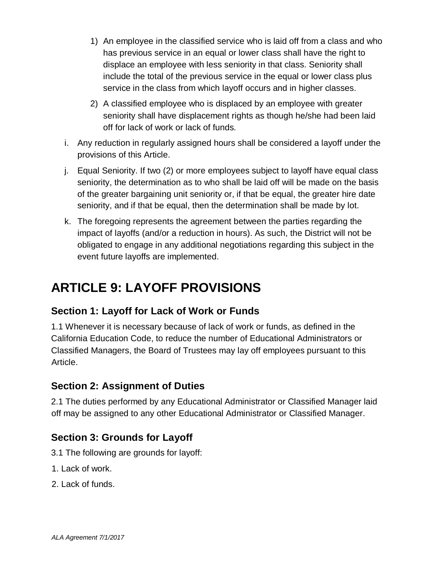- 1) An employee in the classified service who is laid off from a class and who has previous service in an equal or lower class shall have the right to displace an employee with less seniority in that class. Seniority shall include the total of the previous service in the equal or lower class plus service in the class from which layoff occurs and in higher classes.
- 2) A classified employee who is displaced by an employee with greater seniority shall have displacement rights as though he/she had been laid off for lack of work or lack of funds.
- i. Any reduction in regularly assigned hours shall be considered a layoff under the provisions of this Article.
- j. Equal Seniority. If two (2) or more employees subject to layoff have equal class seniority, the determination as to who shall be laid off will be made on the basis of the greater bargaining unit seniority or, if that be equal, the greater hire date seniority, and if that be equal, then the determination shall be made by lot.
- k. The foregoing represents the agreement between the parties regarding the impact of layoffs (and/or a reduction in hours). As such, the District will not be obligated to engage in any additional negotiations regarding this subject in the event future layoffs are implemented.

# **ARTICLE 9: LAYOFF PROVISIONS**

### **Section 1: Layoff for Lack of Work or Funds**

1.1 Whenever it is necessary because of lack of work or funds, as defined in the California Education Code, to reduce the number of Educational Administrators or Classified Managers, the Board of Trustees may lay off employees pursuant to this Article.

#### **Section 2: Assignment of Duties**

2.1 The duties performed by any Educational Administrator or Classified Manager laid off may be assigned to any other Educational Administrator or Classified Manager.

#### **Section 3: Grounds for Layoff**

- 3.1 The following are grounds for layoff:
- 1. Lack of work.
- 2. Lack of funds.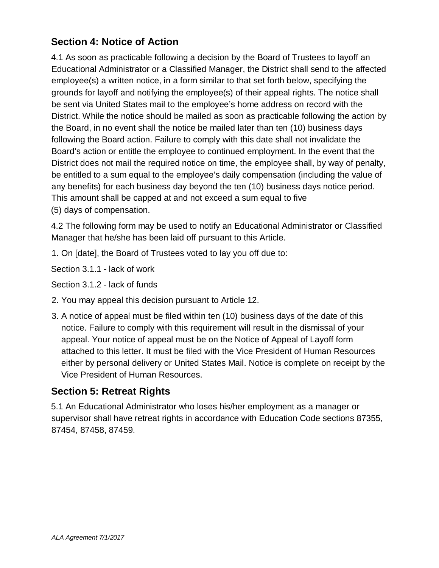#### **Section 4: Notice of Action**

4.1 As soon as practicable following a decision by the Board of Trustees to layoff an Educational Administrator or a Classified Manager, the District shall send to the affected employee(s) a written notice, in a form similar to that set forth below, specifying the grounds for layoff and notifying the employee(s) of their appeal rights. The notice shall be sent via United States mail to the employee's home address on record with the District. While the notice should be mailed as soon as practicable following the action by the Board, in no event shall the notice be mailed later than ten (10) business days following the Board action. Failure to comply with this date shall not invalidate the Board's action or entitle the employee to continued employment. In the event that the District does not mail the required notice on time, the employee shall, by way of penalty, be entitled to a sum equal to the employee's daily compensation (including the value of any benefits) for each business day beyond the ten (10) business days notice period. This amount shall be capped at and not exceed a sum equal to five (5) days of compensation.

4.2 The following form may be used to notify an Educational Administrator or Classified Manager that he/she has been laid off pursuant to this Article.

1. On [date], the Board of Trustees voted to lay you off due to:

Section 3.1.1 - lack of work

Section 3.1.2 - lack of funds

- 2. You may appeal this decision pursuant to Article 12.
- 3. A notice of appeal must be filed within ten (10) business days of the date of this notice. Failure to comply with this requirement will result in the dismissal of your appeal. Your notice of appeal must be on the Notice of Appeal of Layoff form attached to this letter. It must be filed with the Vice President of Human Resources either by personal delivery or United States Mail. Notice is complete on receipt by the Vice President of Human Resources.

#### **Section 5: Retreat Rights**

5.1 An Educational Administrator who loses his/her employment as a manager or supervisor shall have retreat rights in accordance with Education Code sections 87355, 87454, 87458, 87459.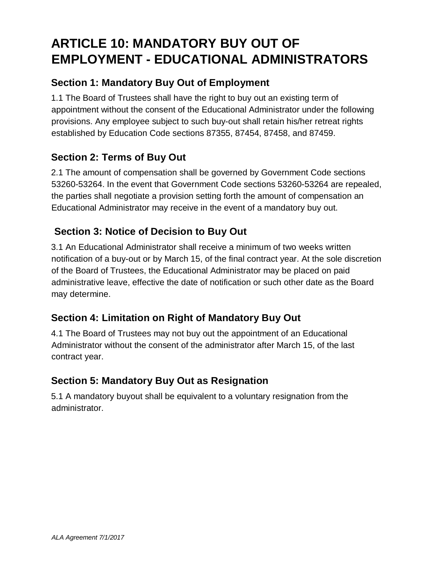# **ARTICLE 10: MANDATORY BUY OUT OF EMPLOYMENT - EDUCATIONAL ADMINISTRATORS**

### **Section 1: Mandatory Buy Out of Employment**

1.1 The Board of Trustees shall have the right to buy out an existing term of appointment without the consent of the Educational Administrator under the following provisions. Any employee subject to such buy-out shall retain his/her retreat rights established by Education Code sections 87355, 87454, 87458, and 87459.

#### **Section 2: Terms of Buy Out**

2.1 The amount of compensation shall be governed by Government Code sections 53260-53264. In the event that Government Code sections 53260-53264 are repealed, the parties shall negotiate a provision setting forth the amount of compensation an Educational Administrator may receive in the event of a mandatory buy out.

#### **Section 3: Notice of Decision to Buy Out**

3.1 An Educational Administrator shall receive a minimum of two weeks written notification of a buy-out or by March 15, of the final contract year. At the sole discretion of the Board of Trustees, the Educational Administrator may be placed on paid administrative leave, effective the date of notification or such other date as the Board may determine.

#### **Section 4: Limitation on Right of Mandatory Buy Out**

4.1 The Board of Trustees may not buy out the appointment of an Educational Administrator without the consent of the administrator after March 15, of the last contract year.

#### **Section 5: Mandatory Buy Out as Resignation**

5.1 A mandatory buyout shall be equivalent to a voluntary resignation from the administrator.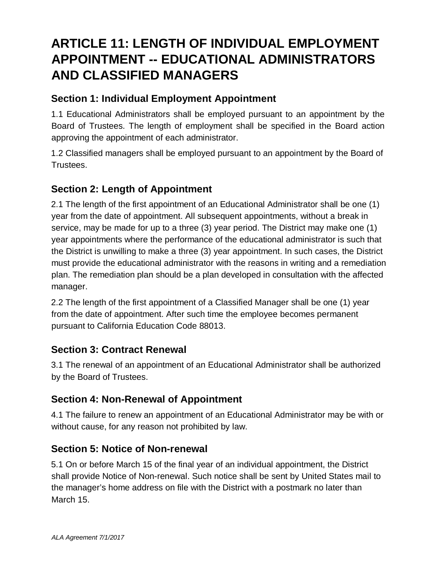# **ARTICLE 11: LENGTH OF INDIVIDUAL EMPLOYMENT APPOINTMENT -- EDUCATIONAL ADMINISTRATORS AND CLASSIFIED MANAGERS**

#### **Section 1: Individual Employment Appointment**

1.1 Educational Administrators shall be employed pursuant to an appointment by the Board of Trustees. The length of employment shall be specified in the Board action approving the appointment of each administrator.

1.2 Classified managers shall be employed pursuant to an appointment by the Board of Trustees.

#### **Section 2: Length of Appointment**

2.1 The length of the first appointment of an Educational Administrator shall be one (1) year from the date of appointment. All subsequent appointments, without a break in service, may be made for up to a three (3) year period. The District may make one (1) year appointments where the performance of the educational administrator is such that the District is unwilling to make a three (3) year appointment. In such cases, the District must provide the educational administrator with the reasons in writing and a remediation plan. The remediation plan should be a plan developed in consultation with the affected manager.

2.2 The length of the first appointment of a Classified Manager shall be one (1) year from the date of appointment. After such time the employee becomes permanent pursuant to California Education Code 88013.

#### **Section 3: Contract Renewal**

3.1 The renewal of an appointment of an Educational Administrator shall be authorized by the Board of Trustees.

#### **Section 4: Non-Renewal of Appointment**

4.1 The failure to renew an appointment of an Educational Administrator may be with or without cause, for any reason not prohibited by law.

#### **Section 5: Notice of Non-renewal**

5.1 On or before March 15 of the final year of an individual appointment, the District shall provide Notice of Non-renewal. Such notice shall be sent by United States mail to the manager's home address on file with the District with a postmark no later than March 15.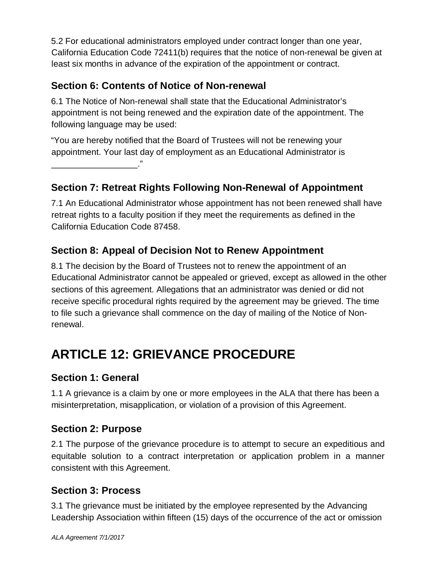5.2 For educational administrators employed under contract longer than one year, California Education Code 72411(b) requires that the notice of non-renewal be given at least six months in advance of the expiration of the appointment or contract.

### **Section 6: Contents of Notice of Non-renewal**

6.1 The Notice of Non-renewal shall state that the Educational Administrator's appointment is not being renewed and the expiration date of the appointment. The following language may be used:

"You are hereby notified that the Board of Trustees will not be renewing your appointment. Your last day of employment as an Educational Administrator is \_\_\_\_\_\_\_\_\_\_\_\_\_\_\_\_\_\_."

**Section 7: Retreat Rights Following Non-Renewal of Appointment** 

7.1 An Educational Administrator whose appointment has not been renewed shall have retreat rights to a faculty position if they meet the requirements as defined in the California Education Code 87458.

### **Section 8: Appeal of Decision Not to Renew Appointment**

8.1 The decision by the Board of Trustees not to renew the appointment of an Educational Administrator cannot be appealed or grieved, except as allowed in the other sections of this agreement. Allegations that an administrator was denied or did not receive specific procedural rights required by the agreement may be grieved. The time to file such a grievance shall commence on the day of mailing of the Notice of Nonrenewal.

# **ARTICLE 12: GRIEVANCE PROCEDURE**

#### **Section 1: General**

1.1 A grievance is a claim by one or more employees in the ALA that there has been a misinterpretation, misapplication, or violation of a provision of this Agreement.

#### **Section 2: Purpose**

2.1 The purpose of the grievance procedure is to attempt to secure an expeditious and equitable solution to a contract interpretation or application problem in a manner consistent with this Agreement.

#### **Section 3: Process**

3.1 The grievance must be initiated by the employee represented by the Advancing Leadership Association within fifteen (15) days of the occurrence of the act or omission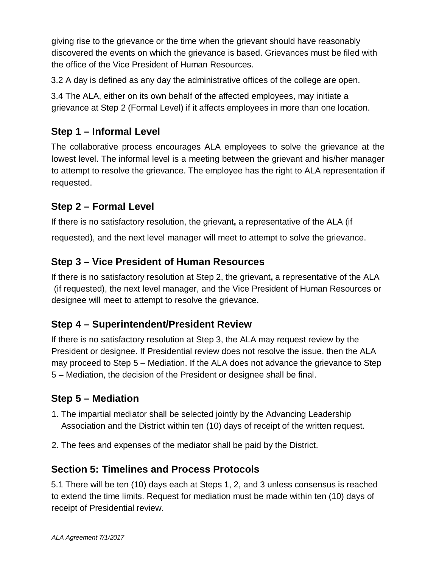giving rise to the grievance or the time when the grievant should have reasonably discovered the events on which the grievance is based. Grievances must be filed with the office of the Vice President of Human Resources.

3.2 A day is defined as any day the administrative offices of the college are open.

3.4 The ALA, either on its own behalf of the affected employees, may initiate a grievance at Step 2 (Formal Level) if it affects employees in more than one location.

#### **Step 1 – Informal Level**

The collaborative process encourages ALA employees to solve the grievance at the lowest level. The informal level is a meeting between the grievant and his/her manager to attempt to resolve the grievance. The employee has the right to ALA representation if requested.

#### **Step 2 – Formal Level**

If there is no satisfactory resolution, the grievant**,** a representative of the ALA (if

requested), and the next level manager will meet to attempt to solve the grievance.

#### **Step 3 – Vice President of Human Resources**

If there is no satisfactory resolution at Step 2, the grievant**,** a representative of the ALA (if requested), the next level manager, and the Vice President of Human Resources or designee will meet to attempt to resolve the grievance.

#### **Step 4 – Superintendent/President Review**

If there is no satisfactory resolution at Step 3, the ALA may request review by the President or designee. If Presidential review does not resolve the issue, then the ALA may proceed to Step 5 – Mediation. If the ALA does not advance the grievance to Step 5 – Mediation, the decision of the President or designee shall be final.

#### **Step 5 – Mediation**

- 1. The impartial mediator shall be selected jointly by the Advancing Leadership Association and the District within ten (10) days of receipt of the written request.
- 2. The fees and expenses of the mediator shall be paid by the District.

#### **Section 5: Timelines and Process Protocols**

5.1 There will be ten (10) days each at Steps 1, 2, and 3 unless consensus is reached to extend the time limits. Request for mediation must be made within ten (10) days of receipt of Presidential review.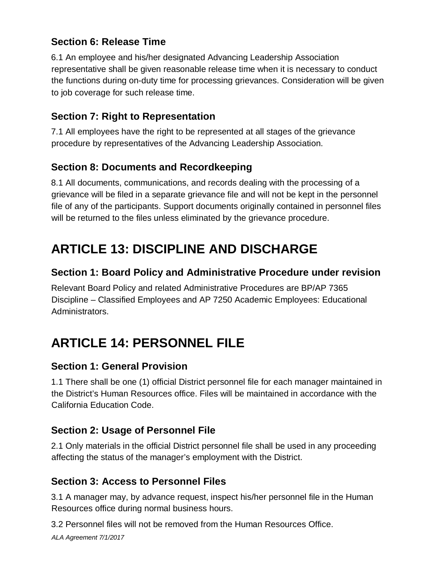### **Section 6: Release Time**

6.1 An employee and his/her designated Advancing Leadership Association representative shall be given reasonable release time when it is necessary to conduct the functions during on-duty time for processing grievances. Consideration will be given to job coverage for such release time.

#### **Section 7: Right to Representation**

7.1 All employees have the right to be represented at all stages of the grievance procedure by representatives of the Advancing Leadership Association.

### **Section 8: Documents and Recordkeeping**

8.1 All documents, communications, and records dealing with the processing of a grievance will be filed in a separate grievance file and will not be kept in the personnel file of any of the participants. Support documents originally contained in personnel files will be returned to the files unless eliminated by the grievance procedure.

# **ARTICLE 13: DISCIPLINE AND DISCHARGE**

#### **Section 1: Board Policy and Administrative Procedure under revision**

Relevant Board Policy and related Administrative Procedures are BP/AP 7365 Discipline – Classified Employees and AP 7250 Academic Employees: Educational Administrators.

# **ARTICLE 14: PERSONNEL FILE**

#### **Section 1: General Provision**

1.1 There shall be one (1) official District personnel file for each manager maintained in the District's Human Resources office. Files will be maintained in accordance with the California Education Code.

#### **Section 2: Usage of Personnel File**

2.1 Only materials in the official District personnel file shall be used in any proceeding affecting the status of the manager's employment with the District.

#### **Section 3: Access to Personnel Files**

3.1 A manager may, by advance request, inspect his/her personnel file in the Human Resources office during normal business hours.

3.2 Personnel files will not be removed from the Human Resources Office.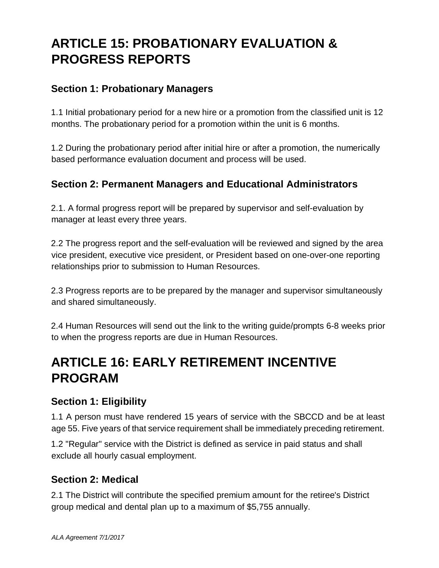# **ARTICLE 15: PROBATIONARY EVALUATION & PROGRESS REPORTS**

#### **Section 1: Probationary Managers**

1.1 Initial probationary period for a new hire or a promotion from the classified unit is 12 months. The probationary period for a promotion within the unit is 6 months.

1.2 During the probationary period after initial hire or after a promotion, the numerically based performance evaluation document and process will be used.

#### **Section 2: Permanent Managers and Educational Administrators**

2.1. A formal progress report will be prepared by supervisor and self-evaluation by manager at least every three years.

2.2 The progress report and the self-evaluation will be reviewed and signed by the area vice president, executive vice president, or President based on one-over-one reporting relationships prior to submission to Human Resources.

2.3 Progress reports are to be prepared by the manager and supervisor simultaneously and shared simultaneously.

2.4 Human Resources will send out the link to the writing guide/prompts 6-8 weeks prior to when the progress reports are due in Human Resources.

### **ARTICLE 16: EARLY RETIREMENT INCENTIVE PROGRAM**

#### **Section 1: Eligibility**

1.1 A person must have rendered 15 years of service with the SBCCD and be at least age 55. Five years of that service requirement shall be immediately preceding retirement.

1.2 "Regular" service with the District is defined as service in paid status and shall exclude all hourly casual employment.

#### **Section 2: Medical**

2.1 The District will contribute the specified premium amount for the retiree's District group medical and dental plan up to a maximum of \$5,755 annually.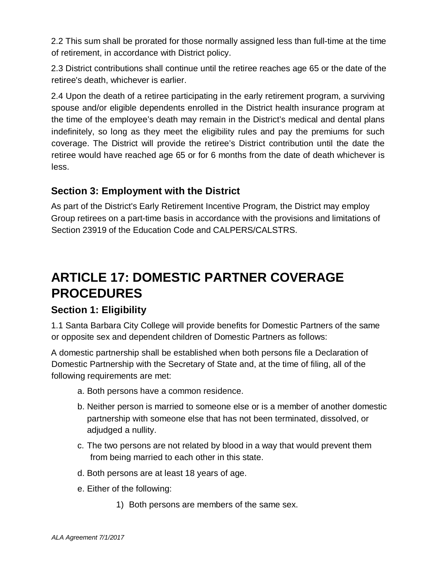2.2 This sum shall be prorated for those normally assigned less than full-time at the time of retirement, in accordance with District policy.

2.3 District contributions shall continue until the retiree reaches age 65 or the date of the retiree's death, whichever is earlier.

2.4 Upon the death of a retiree participating in the early retirement program, a surviving spouse and/or eligible dependents enrolled in the District health insurance program at the time of the employee's death may remain in the District's medical and dental plans indefinitely, so long as they meet the eligibility rules and pay the premiums for such coverage. The District will provide the retiree's District contribution until the date the retiree would have reached age 65 or for 6 months from the date of death whichever is less.

#### **Section 3: Employment with the District**

As part of the District's Early Retirement Incentive Program, the District may employ Group retirees on a part-time basis in accordance with the provisions and limitations of Section 23919 of the Education Code and CALPERS/CALSTRS.

# **ARTICLE 17: DOMESTIC PARTNER COVERAGE PROCEDURES**

#### **Section 1: Eligibility**

1.1 Santa Barbara City College will provide benefits for Domestic Partners of the same or opposite sex and dependent children of Domestic Partners as follows:

A domestic partnership shall be established when both persons file a Declaration of Domestic Partnership with the Secretary of State and, at the time of filing, all of the following requirements are met:

- a. Both persons have a common residence.
- b. Neither person is married to someone else or is a member of another domestic partnership with someone else that has not been terminated, dissolved, or adjudged a nullity.
- c. The two persons are not related by blood in a way that would prevent them from being married to each other in this state.
- d. Both persons are at least 18 years of age.
- e. Either of the following:
	- 1) Both persons are members of the same sex.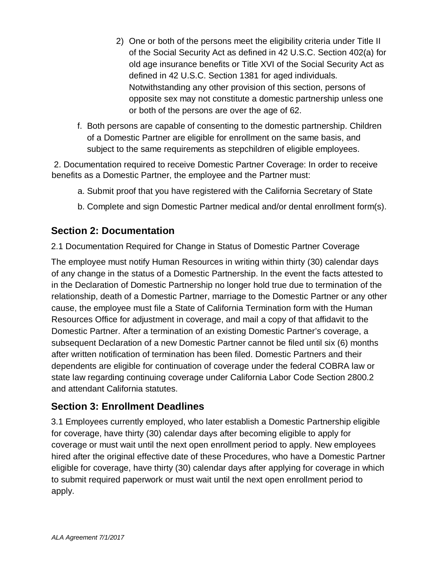- 2) One or both of the persons meet the eligibility criteria under Title II of the Social Security Act as defined in 42 U.S.C. Section 402(a) for old age insurance benefits or Title XVI of the Social Security Act as defined in 42 U.S.C. Section 1381 for aged individuals. Notwithstanding any other provision of this section, persons of opposite sex may not constitute a domestic partnership unless one or both of the persons are over the age of 62.
- f. Both persons are capable of consenting to the domestic partnership. Children of a Domestic Partner are eligible for enrollment on the same basis, and subject to the same requirements as stepchildren of eligible employees.

2. Documentation required to receive Domestic Partner Coverage: In order to receive benefits as a Domestic Partner, the employee and the Partner must:

- a. Submit proof that you have registered with the California Secretary of State
- b. Complete and sign Domestic Partner medical and/or dental enrollment form(s).

#### **Section 2: Documentation**

2.1 Documentation Required for Change in Status of Domestic Partner Coverage

The employee must notify Human Resources in writing within thirty (30) calendar days of any change in the status of a Domestic Partnership. In the event the facts attested to in the Declaration of Domestic Partnership no longer hold true due to termination of the relationship, death of a Domestic Partner, marriage to the Domestic Partner or any other cause, the employee must file a State of California Termination form with the Human Resources Office for adjustment in coverage, and mail a copy of that affidavit to the Domestic Partner. After a termination of an existing Domestic Partner's coverage, a subsequent Declaration of a new Domestic Partner cannot be filed until six (6) months after written notification of termination has been filed. Domestic Partners and their dependents are eligible for continuation of coverage under the federal COBRA law or state law regarding continuing coverage under California Labor Code Section 2800.2 and attendant California statutes.

#### **Section 3: Enrollment Deadlines**

3.1 Employees currently employed, who later establish a Domestic Partnership eligible for coverage, have thirty (30) calendar days after becoming eligible to apply for coverage or must wait until the next open enrollment period to apply. New employees hired after the original effective date of these Procedures, who have a Domestic Partner eligible for coverage, have thirty (30) calendar days after applying for coverage in which to submit required paperwork or must wait until the next open enrollment period to apply.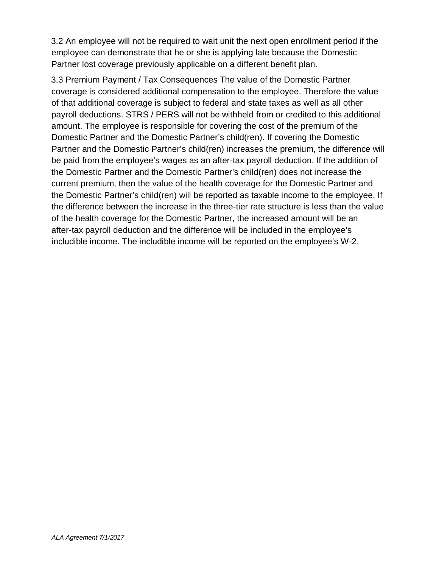3.2 An employee will not be required to wait unit the next open enrollment period if the employee can demonstrate that he or she is applying late because the Domestic Partner lost coverage previously applicable on a different benefit plan.

3.3 Premium Payment / Tax Consequences The value of the Domestic Partner coverage is considered additional compensation to the employee. Therefore the value of that additional coverage is subject to federal and state taxes as well as all other payroll deductions. STRS / PERS will not be withheld from or credited to this additional amount. The employee is responsible for covering the cost of the premium of the Domestic Partner and the Domestic Partner's child(ren). If covering the Domestic Partner and the Domestic Partner's child(ren) increases the premium, the difference will be paid from the employee's wages as an after-tax payroll deduction. If the addition of the Domestic Partner and the Domestic Partner's child(ren) does not increase the current premium, then the value of the health coverage for the Domestic Partner and the Domestic Partner's child(ren) will be reported as taxable income to the employee. If the difference between the increase in the three-tier rate structure is less than the value of the health coverage for the Domestic Partner, the increased amount will be an after-tax payroll deduction and the difference will be included in the employee's includible income. The includible income will be reported on the employee's W-2.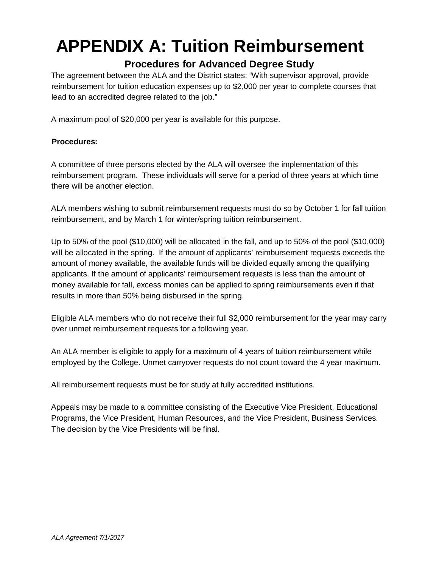# **APPENDIX A: Tuition Reimbursement**

#### **Procedures for Advanced Degree Study**

The agreement between the ALA and the District states: "With supervisor approval, provide reimbursement for tuition education expenses up to \$2,000 per year to complete courses that lead to an accredited degree related to the job."

A maximum pool of \$20,000 per year is available for this purpose.

#### **Procedures:**

A committee of three persons elected by the ALA will oversee the implementation of this reimbursement program. These individuals will serve for a period of three years at which time there will be another election.

ALA members wishing to submit reimbursement requests must do so by October 1 for fall tuition reimbursement, and by March 1 for winter/spring tuition reimbursement.

Up to 50% of the pool (\$10,000) will be allocated in the fall, and up to 50% of the pool (\$10,000) will be allocated in the spring. If the amount of applicants' reimbursement requests exceeds the amount of money available, the available funds will be divided equally among the qualifying applicants. If the amount of applicants' reimbursement requests is less than the amount of money available for fall, excess monies can be applied to spring reimbursements even if that results in more than 50% being disbursed in the spring.

Eligible ALA members who do not receive their full \$2,000 reimbursement for the year may carry over unmet reimbursement requests for a following year.

An ALA member is eligible to apply for a maximum of 4 years of tuition reimbursement while employed by the College. Unmet carryover requests do not count toward the 4 year maximum.

All reimbursement requests must be for study at fully accredited institutions.

Appeals may be made to a committee consisting of the Executive Vice President, Educational Programs, the Vice President, Human Resources, and the Vice President, Business Services. The decision by the Vice Presidents will be final.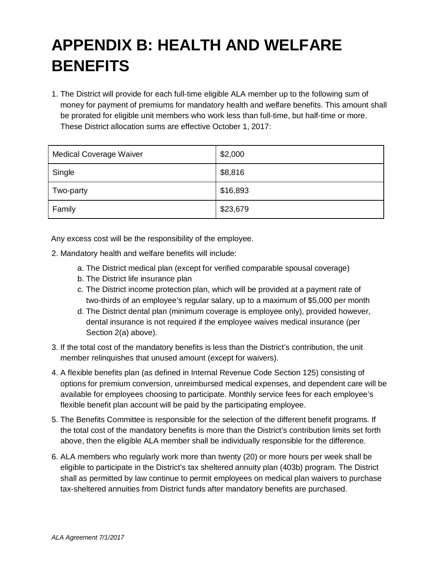# **APPENDIX B: HEALTH AND WELFARE BENEFITS**

1. The District will provide for each full-time eligible ALA member up to the following sum of money for payment of premiums for mandatory health and welfare benefits. This amount shall be prorated for eligible unit members who work less than full-time, but half-time or more. These District allocation sums are effective October 1, 2017:

| <b>Medical Coverage Waiver</b> | \$2,000  |
|--------------------------------|----------|
| Single                         | \$8,816  |
| Two-party                      | \$16,893 |
| Family                         | \$23,679 |

Any excess cost will be the responsibility of the employee.

- 2. Mandatory health and welfare benefits will include:
	- a. The District medical plan (except for verified comparable spousal coverage)
	- b. The District life insurance plan
	- c. The District income protection plan, which will be provided at a payment rate of two-thirds of an employee's regular salary, up to a maximum of \$5,000 per month
	- d. The District dental plan (minimum coverage is employee only), provided however, dental insurance is not required if the employee waives medical insurance (per Section 2(a) above).
- 3. If the total cost of the mandatory benefits is less than the District's contribution, the unit member relinquishes that unused amount (except for waivers).
- 4. A flexible benefits plan (as defined in Internal Revenue Code Section 125) consisting of options for premium conversion, unreimbursed medical expenses, and dependent care will be available for employees choosing to participate. Monthly service fees for each employee's flexible benefit plan account will be paid by the participating employee.
- 5. The Benefits Committee is responsible for the selection of the different benefit programs. If the total cost of the mandatory benefits is more than the District's contribution limits set forth above, then the eligible ALA member shall be individually responsible for the difference.
- 6. ALA members who regularly work more than twenty (20) or more hours per week shall be eligible to participate in the District's tax sheltered annuity plan (403b) program. The District shall as permitted by law continue to permit employees on medical plan waivers to purchase tax-sheltered annuities from District funds after mandatory benefits are purchased.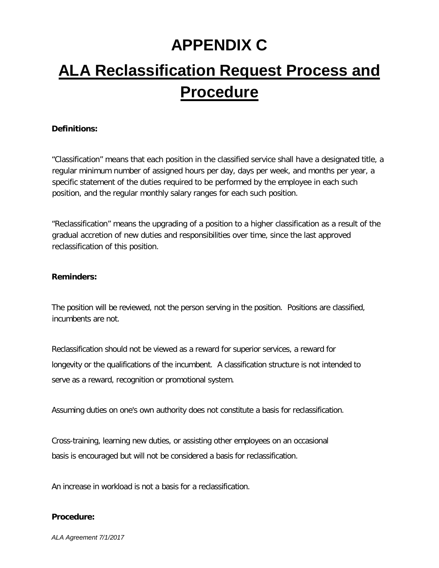# **APPENDIX C**

# **ALA Reclassification Request Process and Procedure**

#### **Definitions:**

"Classification" means that each position in the classified service shall have a designated title, a regular minimum number of assigned hours per day, days per week, and months per year, a specific statement of the duties required to be performed by the employee in each such position, and the regular monthly salary ranges for each such position.

"Reclassification" means the upgrading of a position to a higher classification as a result of the gradual accretion of new duties and responsibilities over time, since the last approved reclassification of this position.

#### **Reminders:**

The position will be reviewed, not the person serving in the position. Positions are classified, incumbents are not.

Reclassification should not be viewed as a reward for superior services, a reward for longevity or the qualifications of the incumbent. A classification structure is not intended to serve as a reward, recognition or promotional system.

Assuming duties on one's own authority does not constitute a basis for reclassification.

Cross-training, learning new duties, or assisting other employees on an occasional basis is encouraged but will not be considered a basis for reclassification.

An increase in workload is not a basis for a reclassification.

#### **Procedure:**

*ALA Agreement 7/1/2017*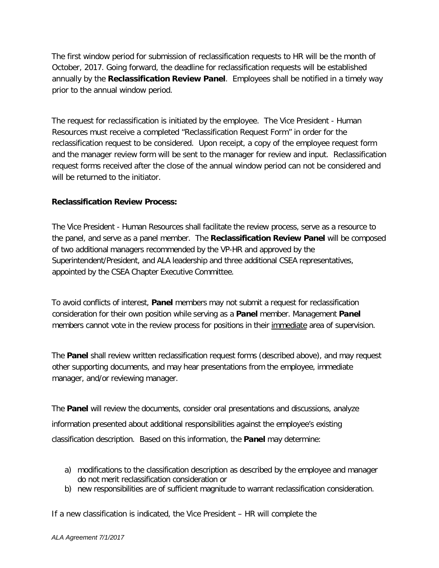The first window period for submission of reclassification requests to HR will be the month of October, 2017. Going forward, the deadline for reclassification requests will be established annually by the **Reclassification Review Panel**. Employees shall be notified in a timely way prior to the annual window period.

The request for reclassification is initiated by the employee. The Vice President - Human Resources must receive a completed "Reclassification Request Form" in order for the reclassification request to be considered. Upon receipt, a copy of the employee request form and the manager review form will be sent to the manager for review and input. Reclassification request forms received after the close of the annual window period can not be considered and will be returned to the initiator.

#### **Reclassification Review Process:**

The Vice President - Human Resources shall facilitate the review process, serve as a resource to the panel, and serve as a panel member. The **Reclassification Review Panel** will be composed of two additional managers recommended by the VP-HR and approved by the Superintendent/President, and ALA leadership and three additional CSEA representatives, appointed by the CSEA Chapter Executive Committee.

To avoid conflicts of interest, **Panel** members may not submit a request for reclassification consideration for their own position while serving as a **Panel** member. Management **Panel** members cannot vote in the review process for positions in their immediate area of supervision.

The **Panel** shall review written reclassification request forms (described above), and may request other supporting documents, and may hear presentations from the employee, immediate manager, and/or reviewing manager.

The **Panel** will review the documents, consider oral presentations and discussions, analyze information presented about additional responsibilities against the employee's existing classification description. Based on this information, the **Panel** may determine:

- a) modifications to the classification description as described by the employee and manager do not merit reclassification consideration or
- b) new responsibilities are of sufficient magnitude to warrant reclassification consideration.

If a new classification is indicated, the Vice President – HR will complete the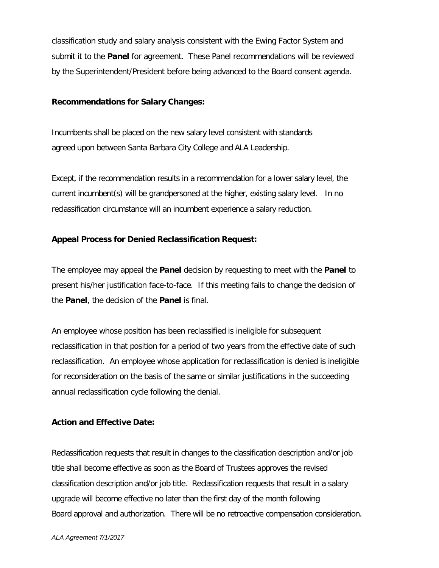classification study and salary analysis consistent with the Ewing Factor System and submit it to the **Panel** for agreement. These Panel recommendations will be reviewed by the Superintendent/President before being advanced to the Board consent agenda.

#### **Recommendations for Salary Changes:**

Incumbents shall be placed on the new salary level consistent with standards agreed upon between Santa Barbara City College and ALA Leadership.

Except, if the recommendation results in a recommendation for a lower salary level, the current incumbent(s) will be grandpersoned at the higher, existing salary level. In no reclassification circumstance will an incumbent experience a salary reduction.

#### **Appeal Process for Denied Reclassification Request:**

The employee may appeal the **Panel** decision by requesting to meet with the **Panel** to present his/her justification face-to-face. If this meeting fails to change the decision of the **Panel**, the decision of the **Panel** is final.

An employee whose position has been reclassified is ineligible for subsequent reclassification in that position for a period of two years from the effective date of such reclassification. An employee whose application for reclassification is denied is ineligible for reconsideration on the basis of the same or similar justifications in the succeeding annual reclassification cycle following the denial.

#### **Action and Effective Date:**

Reclassification requests that result in changes to the classification description and/or job title shall become effective as soon as the Board of Trustees approves the revised classification description and/or job title. Reclassification requests that result in a salary upgrade will become effective no later than the first day of the month following Board approval and authorization. There will be no retroactive compensation consideration.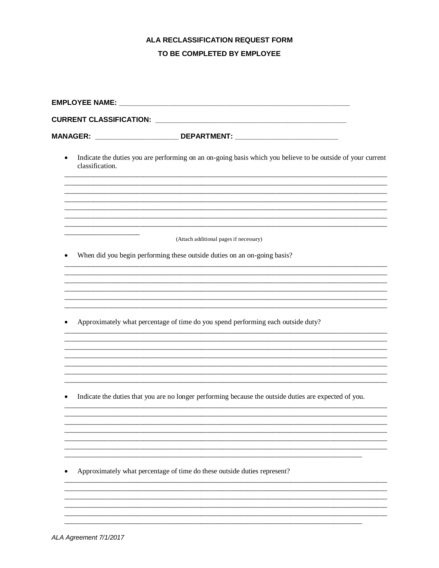# ALA RECLASSIFICATION REQUEST FORM

#### TO BE COMPLETED BY EMPLOYEE

|           | MANAGER: ___________________________________DEPARTMENT: ________________________                                               |  |  |  |
|-----------|--------------------------------------------------------------------------------------------------------------------------------|--|--|--|
| $\bullet$ | Indicate the duties you are performing on an on-going basis which you believe to be outside of your current<br>classification. |  |  |  |
|           |                                                                                                                                |  |  |  |
|           | (Attach additional pages if necessary)                                                                                         |  |  |  |
| ٠         | When did you begin performing these outside duties on an on-going basis?                                                       |  |  |  |
|           |                                                                                                                                |  |  |  |
|           |                                                                                                                                |  |  |  |
| ٠         | Approximately what percentage of time do you spend performing each outside duty?                                               |  |  |  |
|           |                                                                                                                                |  |  |  |
|           |                                                                                                                                |  |  |  |
|           | Indicate the duties that you are no longer performing because the outside duties are expected of you.                          |  |  |  |
|           |                                                                                                                                |  |  |  |
|           |                                                                                                                                |  |  |  |
|           | Approximately what percentage of time do these outside duties represent?                                                       |  |  |  |
|           |                                                                                                                                |  |  |  |

 $\overline{a}$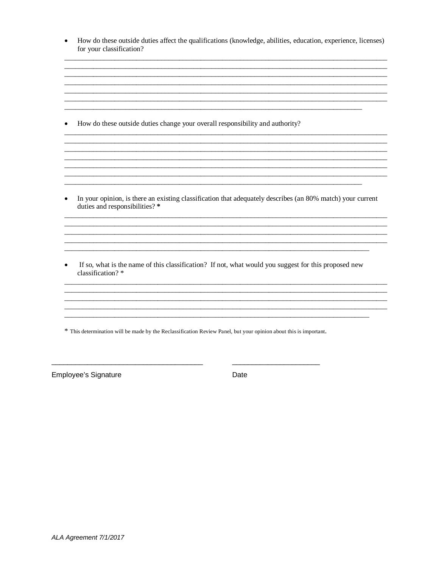| How do these outside duties affect the qualifications (knowledge, abilities, education, experience, licenses) |
|---------------------------------------------------------------------------------------------------------------|
| for your classification?                                                                                      |

• How do these outside duties change your overall responsibility and authority?

• In your opinion, is there an existing classification that adequately describes (an 80% match) your current duties and responsibilities?\*

<u> 1989 - Johann Johann Harry Harry Harry Harry Harry Harry Harry Harry Harry Harry Harry Harry Harry Harry Harry</u> 

If so, what is the name of this classification? If not, what would you suggest for this proposed new classification?\*

\* This determination will be made by the Reclassification Review Panel, but your opinion about this is important.

Employee's Signature

Date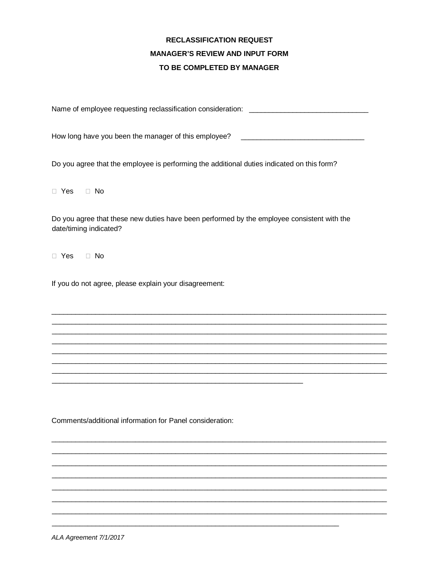#### **RECLASSIFICATION REQUEST MANAGER'S REVIEW AND INPUT FORM** TO BE COMPLETED BY MANAGER

Name of employee requesting reclassification consideration: \_\_\_\_\_\_\_\_\_\_\_\_\_\_\_\_\_\_\_\_\_

How long have you been the manager of this employee? \_\_\_\_\_\_\_\_\_\_\_\_\_\_\_\_\_\_\_\_\_\_\_\_\_\_\_\_

Do you agree that the employee is performing the additional duties indicated on this form?

 $\Box$  Yes  $\Box$  No

Do you agree that these new duties have been performed by the employee consistent with the date/timing indicated?

 $\Box$  Yes  $\Box$  No

If you do not agree, please explain your disagreement:

Comments/additional information for Panel consideration: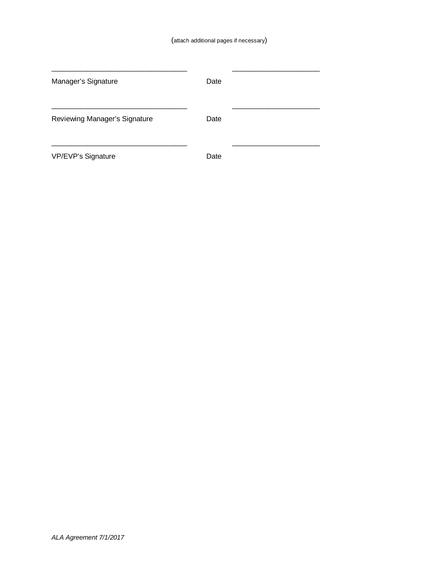| Manager's Signature           | Date |  |
|-------------------------------|------|--|
| Reviewing Manager's Signature | Date |  |
| VP/EVP's Signature            | Date |  |